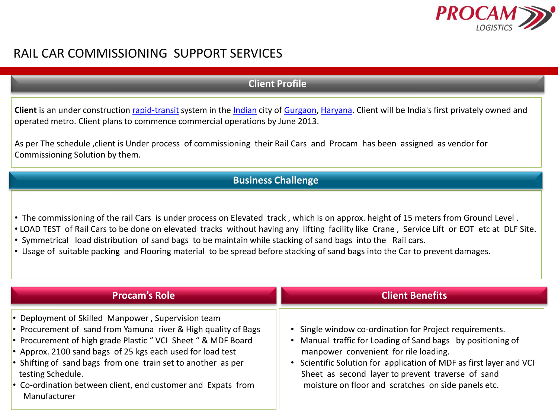

## RAIL CAR COMMISSIONING SUPPORT SERVICES

## **Client Profile**

Client is an under construction [rapid-transit](http://en.wikipedia.org/wiki/Rapid_transit) system in the [Indian](http://en.wikipedia.org/wiki/India) city of [Gurgaon,](http://en.wikipedia.org/wiki/Gurgaon) [Haryana.](http://en.wikipedia.org/wiki/Haryana) Client will be India's first privately owned and operated metro. Client plans to commence commercial operations by June 2013.

As per The schedule ,client is Under process of commissioning their Rail Cars and Procam has been assigned as vendor for Commissioning Solution by them.

## **Business Challenge**

- The commissioning of the rail Cars is under process on Elevated track , which is on approx. height of 15 meters from Ground Level .
- LOAD TEST of Rail Cars to be done on elevated tracks without having any lifting facility like Crane , Service Lift or EOT etc at DLF Site.
- Symmetrical load distribution of sand bags to be maintain while stacking of sand bags into the Rail cars.
- Usage of suitable packing and Flooring material to be spread before stacking of sand bags into the Car to prevent damages.

| <b>Procam's Role</b>                                                                                                                                                                                                                                                                                                                                                                                                    | <b>Client Benefits</b>                                                                                                                                                                                                                                                                                                                       |
|-------------------------------------------------------------------------------------------------------------------------------------------------------------------------------------------------------------------------------------------------------------------------------------------------------------------------------------------------------------------------------------------------------------------------|----------------------------------------------------------------------------------------------------------------------------------------------------------------------------------------------------------------------------------------------------------------------------------------------------------------------------------------------|
| • Deployment of Skilled Manpower, Supervision team<br>• Procurement of sand from Yamuna river & High quality of Bags<br>• Procurement of high grade Plastic "VCI Sheet " & MDF Board<br>• Approx. 2100 sand bags of 25 kgs each used for load test<br>• Shifting of sand bags from one train set to another as per<br>testing Schedule.<br>• Co-ordination between client, end customer and Expats from<br>Manufacturer | Single window co-ordination for Project requirements.<br>Manual traffic for Loading of Sand bags by positioning of<br>manpower convenient for rile loading.<br>Scientific Solution for application of MDF as first layer and VCI<br>Sheet as second layer to prevent traverse of sand<br>moisture on floor and scratches on side panels etc. |